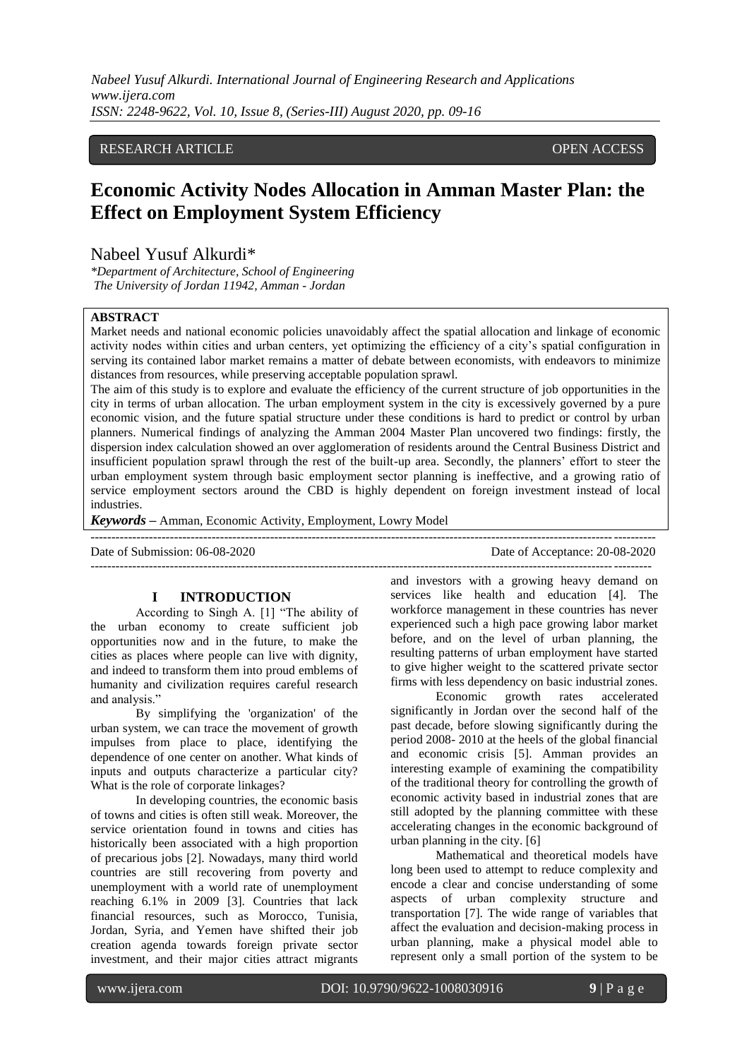## RESEARCH ARTICLE **OPEN ACCESS**

# **Economic Activity Nodes Allocation in Amman Master Plan: the Effect on Employment System Efficiency**

# Nabeel Yusuf Alkurdi\*

*\*Department of Architecture, School of Engineering The University of Jordan 11942, Amman - Jordan*

## **ABSTRACT**

Market needs and national economic policies unavoidably affect the spatial allocation and linkage of economic activity nodes within cities and urban centers, yet optimizing the efficiency of a city"s spatial configuration in serving its contained labor market remains a matter of debate between economists, with endeavors to minimize distances from resources, while preserving acceptable population sprawl.

The aim of this study is to explore and evaluate the efficiency of the current structure of job opportunities in the city in terms of urban allocation. The urban employment system in the city is excessively governed by a pure economic vision, and the future spatial structure under these conditions is hard to predict or control by urban planners. Numerical findings of analyzing the Amman 2004 Master Plan uncovered two findings: firstly, the dispersion index calculation showed an over agglomeration of residents around the Central Business District and insufficient population sprawl through the rest of the built-up area. Secondly, the planners" effort to steer the urban employment system through basic employment sector planning is ineffective, and a growing ratio of service employment sectors around the CBD is highly dependent on foreign investment instead of local industries.

*Keywords* **–** Amman, Economic Activity, Employment, Lowry Model

--------------------------------------------------------------------------------------------------------------------------------------- Date of Submission: 06-08-2020 Date of Acceptance: 20-08-2020

## **I INTRODUCTION**

According to Singh A. [1] "The ability of the urban economy to create sufficient job opportunities now and in the future, to make the cities as places where people can live with dignity, and indeed to transform them into proud emblems of humanity and civilization requires careful research and analysis."

By simplifying the 'organization' of the urban system, we can trace the movement of growth impulses from place to place, identifying the dependence of one center on another. What kinds of inputs and outputs characterize a particular city? What is the role of corporate linkages?

In developing countries, the economic basis of towns and cities is often still weak. Moreover, the service orientation found in towns and cities has historically been associated with a high proportion of precarious jobs [2]. Nowadays, many third world countries are still recovering from poverty and unemployment with a world rate of unemployment reaching 6.1% in 2009 [3]. Countries that lack financial resources, such as Morocco, Tunisia, Jordan, Syria, and Yemen have shifted their job creation agenda towards foreign private sector investment, and their major cities attract migrants

and investors with a growing heavy demand on services like health and education [4]. The workforce management in these countries has never experienced such a high pace growing labor market before, and on the level of urban planning, the resulting patterns of urban employment have started to give higher weight to the scattered private sector firms with less dependency on basic industrial zones.

--------------------------------------------------------------------------------------------------------------------------------------

Economic growth rates accelerated significantly in Jordan over the second half of the past decade, before slowing significantly during the period 2008- 2010 at the heels of the global financial and economic crisis [5]. Amman provides an interesting example of examining the compatibility of the traditional theory for controlling the growth of economic activity based in industrial zones that are still adopted by the planning committee with these accelerating changes in the economic background of urban planning in the city. [6]

Mathematical and theoretical models have long been used to attempt to reduce complexity and encode a clear and concise understanding of some aspects of urban complexity structure and transportation [7]. The wide range of variables that affect the evaluation and decision-making process in urban planning, make a physical model able to represent only a small portion of the system to be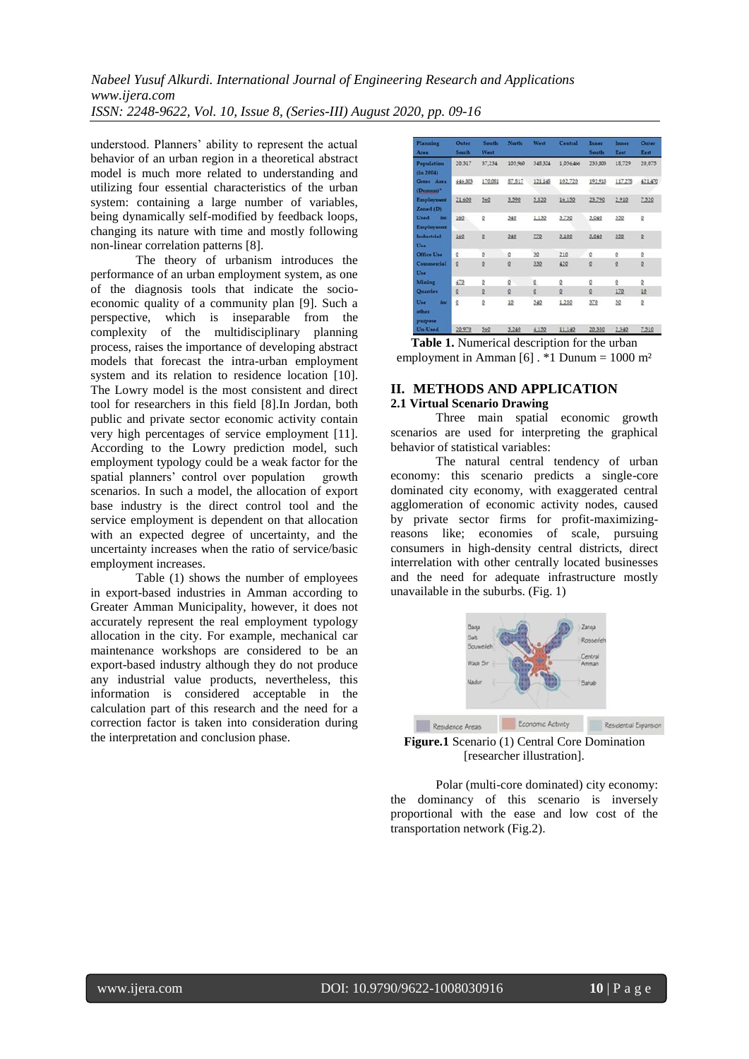understood. Planners' ability to represent the actual behavior of an urban region in a theoretical abstract model is much more related to understanding and utilizing four essential characteristics of the urban system: containing a large number of variables, being dynamically self-modified by feedback loops, changing its nature with time and mostly following non-linear correlation patterns [8].

The theory of urbanism introduces the performance of an urban employment system, as one of the diagnosis tools that indicate the socioeconomic quality of a community plan [9]. Such a perspective, which is inseparable from the complexity of the multidisciplinary planning process, raises the importance of developing abstract models that forecast the intra-urban employment system and its relation to residence location [10]. The Lowry model is the most consistent and direct tool for researchers in this field [8].In Jordan, both public and private sector economic activity contain very high percentages of service employment [11]. According to the Lowry prediction model, such employment typology could be a weak factor for the spatial planners' control over population growth scenarios. In such a model, the allocation of export base industry is the direct control tool and the service employment is dependent on that allocation with an expected degree of uncertainty, and the uncertainty increases when the ratio of service/basic employment increases.

Table (1) shows the number of employees in export-based industries in Amman according to Greater Amman Municipality, however, it does not accurately represent the real employment typology allocation in the city. For example, mechanical car maintenance workshops are considered to be an export-based industry although they do not produce any industrial value products, nevertheless, this information is considered acceptable in the calculation part of this research and the need for a correction factor is taken into consideration during the interpretation and conclusion phase.

| Planning<br><b>Atva</b>          | Outer<br><b>South</b> | <b>South</b><br>West    | <b>North</b> | West     | Central   | Inner<br><b>South</b>   | Inner<br>East | Outer<br>East. |
|----------------------------------|-----------------------|-------------------------|--------------|----------|-----------|-------------------------|---------------|----------------|
| Population<br>fin 2004)          | 20.317                | 37,234                  | 105960       | 345,324  | 1.056.466 | 233, 303                | 18.729        | 20.075         |
| Gross Area<br>(Dunum)*           | 446,503               | 170,081                 | 87,817       | 121,148  | 102,720   | 192.915                 | 117,278       | 421,470        |
| Employment<br>Zoned (D)          | 21,600                | 560                     | 3,590        | 5,820    | 16,150    | 23,790                  | 2,910         | 7,520          |
| Used<br>for<br><b>Employment</b> | 160                   | $\Omega$                | 340          | 1,130    | 3,730     | 3,040                   | 350           | $\Omega$       |
| Industrial<br>$U_{14}$           | 160                   | $\Omega$                | 340          | 270      | 3,100     | 3,040                   | 350           | $\overline{2}$ |
| Office Use                       | $\Omega$              | $\overline{Q}$          | $\Omega$     | 30       | 210       | Q                       | Q             | $\Omega$       |
| Commercial<br>Use                | $\Omega$              | $\overline{\mathbf{Q}}$ | $\Omega$     | 330      | 420       | $\Omega$                | $\Omega$      | $\Omega$       |
| Mining                           | 470                   | $\Omega$                | $\Omega$     | $\Omega$ | $\Omega$  | ġ                       | ö.            | $\Omega$       |
| Quarries                         | $\Omega$              | $\Omega$                | $\Omega$     | Q        | Q         | $\overline{\mathbf{Q}}$ | 170           | 10             |
| Use<br>for<br>other<br>purpose   | Ö.                    | $\Omega$                | 10           | 540      | 1,250     | 370                     | 50            | $\Omega$       |
| Un-Used                          | 20,970                | 560                     | 3,240        | 4,150    | 11,140    | 20,350                  | 2,340         | 7,510          |

**Table 1.** Numerical description for the urban employment in Amman  $[6]$ . \*1 Dunum = 1000 m<sup>2</sup>

## **II. METHODS AND APPLICATION 2.1 Virtual Scenario Drawing**

Three main spatial economic growth scenarios are used for interpreting the graphical behavior of statistical variables:

The natural central tendency of urban economy: this scenario predicts a single-core dominated city economy, with exaggerated central agglomeration of economic activity nodes, caused by private sector firms for profit-maximizingreasons like; economies of scale, pursuing consumers in high-density central districts, direct interrelation with other centrally located businesses and the need for adequate infrastructure mostly unavailable in the suburbs. (Fig. 1)



**Figure.1** Scenario (1) Central Core Domination [researcher illustration].

Polar (multi-core dominated) city economy: the dominancy of this scenario is inversely proportional with the ease and low cost of the transportation network (Fig.2).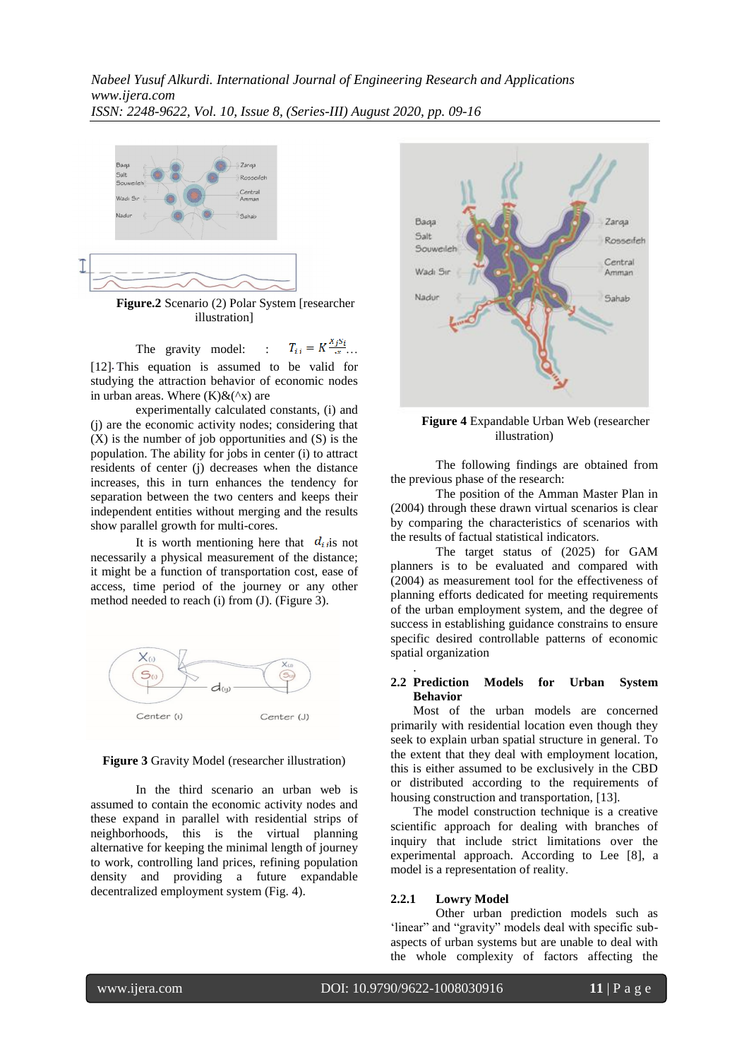

**Figure.2** Scenario (2) Polar System [researcher illustration]

The gravity model: :  $T_{ij} = K \frac{x_j s_i}{x}$ ...

[12] This equation is assumed to be valid for studying the attraction behavior of economic nodes in urban areas. Where  $(K)\&(^\wedge x)$  are

experimentally calculated constants, (i) and (j) are the economic activity nodes; considering that (X) is the number of job opportunities and (S) is the population. The ability for jobs in center (i) to attract residents of center (j) decreases when the distance increases, this in turn enhances the tendency for separation between the two centers and keeps their independent entities without merging and the results show parallel growth for multi-cores.

It is worth mentioning here that  $d_{ij}$  is not necessarily a physical measurement of the distance; it might be a function of transportation cost, ease of access, time period of the journey or any other method needed to reach (i) from (J). (Figure 3).





In the third scenario an urban web is assumed to contain the economic activity nodes and these expand in parallel with residential strips of neighborhoods, this is the virtual planning alternative for keeping the minimal length of journey to work, controlling land prices, refining population density and providing a future expandable decentralized employment system (Fig. 4).



**Figure 4** Expandable Urban Web (researcher illustration)

The following findings are obtained from the previous phase of the research:

The position of the Amman Master Plan in (2004) through these drawn virtual scenarios is clear by comparing the characteristics of scenarios with the results of factual statistical indicators.

The target status of (2025) for GAM planners is to be evaluated and compared with (2004) as measurement tool for the effectiveness of planning efforts dedicated for meeting requirements of the urban employment system, and the degree of success in establishing guidance constrains to ensure specific desired controllable patterns of economic spatial organization

### **2.2 Prediction Models for Urban System Behavior**

Most of the urban models are concerned primarily with residential location even though they seek to explain urban spatial structure in general. To the extent that they deal with employment location, this is either assumed to be exclusively in the CBD or distributed according to the requirements of housing construction and transportation, [13].

The model construction technique is a creative scientific approach for dealing with branches of inquiry that include strict limitations over the experimental approach. According to Lee [8], a model is a representation of reality.

#### **2.2.1 Lowry Model**

Other urban prediction models such as "linear" and "gravity" models deal with specific subaspects of urban systems but are unable to deal with the whole complexity of factors affecting the

.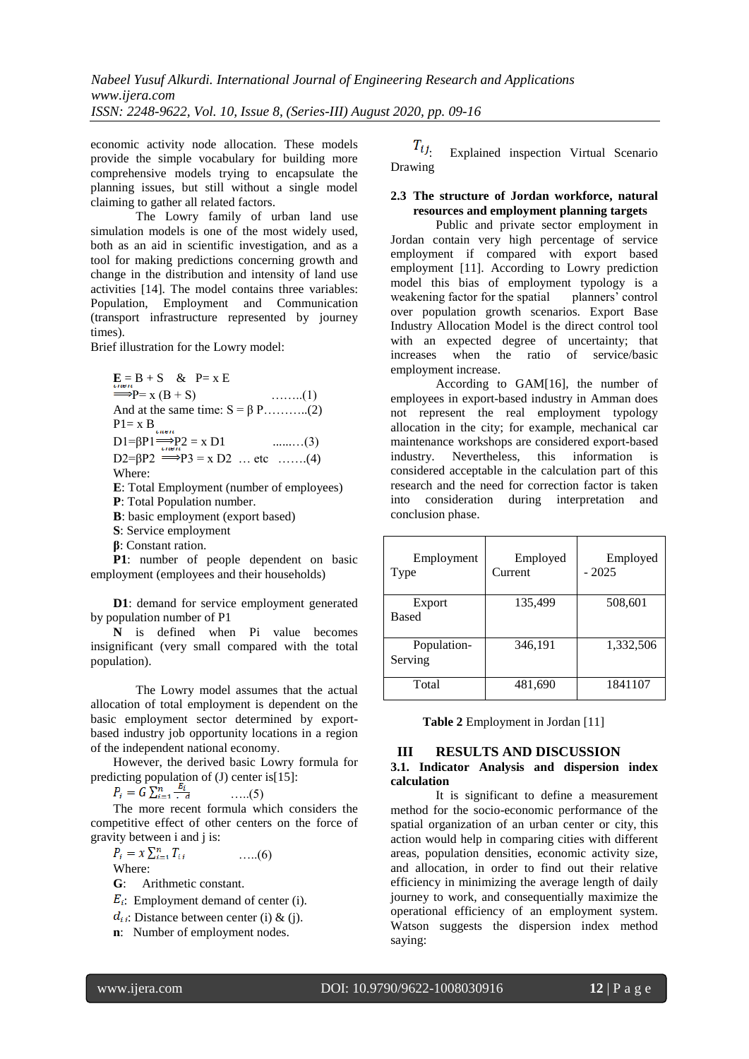economic activity node allocation. These models provide the simple vocabulary for building more comprehensive models trying to encapsulate the planning issues, but still without a single model claiming to gather all related factors.

The Lowry family of urban land use simulation models is one of the most widely used, both as an aid in scientific investigation, and as a tool for making predictions concerning growth and change in the distribution and intensity of land use activities [14]. The model contains three variables: Population, Employment and Communication (transport infrastructure represented by journey times).

Brief illustration for the Lowry model:

$$
\begin{aligned}\n\mathbf{E} &= \mathbf{B} + \mathbf{S} \quad \& \quad \mathbf{P} = \mathbf{x} \mathbf{E} \\
& \Longrightarrow \mathbf{P} = \mathbf{x} \left( \mathbf{B} + \mathbf{S} \right) \quad \text{(1)} \\
\text{And at the same time: } \mathbf{S} = \beta \text{ P} \dots \text{(2)} \\
\mathbf{P1} &= \mathbf{x} \mathbf{B} \dots \mathbf{D1} = \beta \mathbf{P1} \Longrightarrow \mathbf{P2} = \mathbf{x} \mathbf{D1} \quad \text{(3)} \\
\mathbf{D2} &= \beta \mathbf{P2} \Longrightarrow \mathbf{P3} = \mathbf{x} \mathbf{D2} \quad \text{(1)} \\
\mathbf{E}: \text{Total Emplogment (number of employees)} \\
\mathbf{P}: \text{Total Population number.} \\
\mathbf{B}: \text{ basic employment (export based)}\n\end{aligned}
$$

**S**: Service employment

**β**: Constant ration.

**P1**: number of people dependent on basic employment (employees and their households)

**D1**: demand for service employment generated by population number of P1

**N** is defined when Pi value becomes insignificant (very small compared with the total population).

The Lowry model assumes that the actual allocation of total employment is dependent on the basic employment sector determined by exportbased industry job opportunity locations in a region of the independent national economy.

However, the derived basic Lowry formula for predicting population of (J) center is[15]:<br> $P_i = G \sum_{i=1}^{n} \frac{E_i}{d}$  .....(5)

…..(5)

The more recent formula which considers the competitive effect of other centers on the force of gravity between i and j is:

 $P_i = x \sum_{i=1}^n T_{ij}$  .....(6)

Where:

- **G**: Arithmetic constant.
- $E_i$ : Employment demand of center (i).
- $d_{ij}$ : Distance between center (i) & (j).
- **n**: Number of employment nodes.

 $T_{ij}$ : Explained inspection Virtual Scenario Drawing

## **2.3 The structure of Jordan workforce, natural resources and employment planning targets**

Public and private sector employment in Jordan contain very high percentage of service employment if compared with export based employment [11]. According to Lowry prediction model this bias of employment typology is a weakening factor for the spatial planners' control over population growth scenarios. Export Base Industry Allocation Model is the direct control tool with an expected degree of uncertainty; that increases when the ratio of service/basic employment increase.

According to GAM[16], the number of employees in export-based industry in Amman does not represent the real employment typology allocation in the city; for example, mechanical car maintenance workshops are considered export-based industry. Nevertheless, this information is considered acceptable in the calculation part of this research and the need for correction factor is taken into consideration during interpretation and conclusion phase.

| Employment<br>Type     | Employed<br>Current | Employed<br>- 2025 |
|------------------------|---------------------|--------------------|
| Export<br><b>Based</b> | 135,499             | 508,601            |
| Population-<br>Serving | 346,191             | 1,332,506          |
| Total                  | 481,690             | 1841107            |

**Table 2** Employment in Jordan [11]

## **III RESULTS AND DISCUSSION**

### **3.1. Indicator Analysis and dispersion index calculation**

It is significant to define a measurement method for the socio-economic performance of the spatial organization of an urban center or city, this action would help in comparing cities with different areas, population densities, economic activity size, and allocation, in order to find out their relative efficiency in minimizing the average length of daily journey to work, and consequentially maximize the operational efficiency of an employment system. Watson suggests the dispersion index method saying: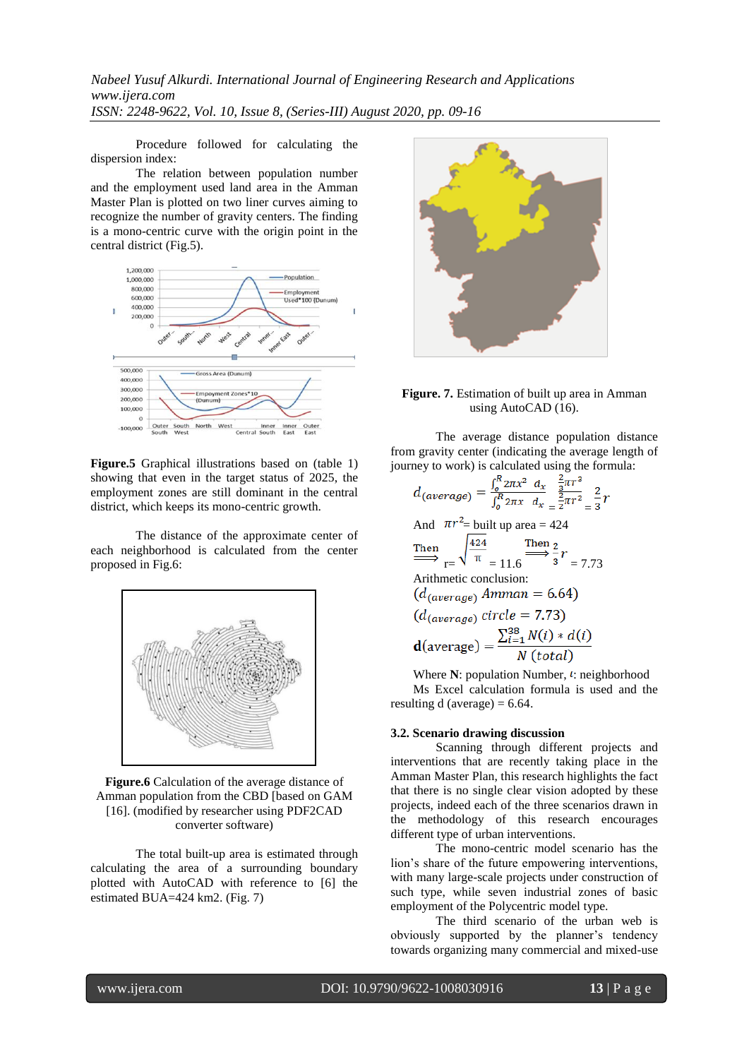Procedure followed for calculating the dispersion index:

The relation between population number and the employment used land area in the Amman Master Plan is plotted on two liner curves aiming to recognize the number of gravity centers. The finding is a mono-centric curve with the origin point in the central district (Fig.5).



**Figure.5** Graphical illustrations based on (table 1) showing that even in the target status of 2025, the employment zones are still dominant in the central district, which keeps its mono-centric growth.

The distance of the approximate center of each neighborhood is calculated from the center proposed in Fig.6:



**Figure.6** Calculation of the average distance of Amman population from the CBD [based on GAM [16]. (modified by researcher using PDF2CAD converter software)

The total built-up area is estimated through calculating the area of a surrounding boundary plotted with AutoCAD with reference to [6] the estimated BUA=424 km2. (Fig. 7)



### **Figure. 7.** Estimation of built up area in Amman using AutoCAD (16).

The average distance population distance from gravity center (indicating the average length of journey to work) is calculated using the formula:

$$
d_{(average)} = \frac{\int_{0}^{R} 2\pi x^{2} dx}{\int_{0}^{R} 2\pi x dx} = \frac{\frac{2}{2}\pi r^{2}}{2\pi r^{2}} = \frac{2}{3}r
$$
  
And  $\pi r^{2}$  = built up area = 424  
Then  

$$
\frac{424}{\pi} = 11.6 \xrightarrow{\text{Then } 2} \frac{2}{3}r
$$
  
Arithmetic conclusion:  
 $(d_{(average)} \text{ Amman} = 6.64)$   
 $(d_{(average)} \text{ circle} = 7.73)$   
 $d(\text{average}) = \frac{\sum_{i=1}^{38} N(i) * d(i)}{N(\text{total})}$ 

Where  $N$ : population Number,  $\ell$ : neighborhood Ms Excel calculation formula is used and the resulting  $d$  (average) = 6.64.

#### **3.2. Scenario drawing discussion**

Scanning through different projects and interventions that are recently taking place in the Amman Master Plan, this research highlights the fact that there is no single clear vision adopted by these projects, indeed each of the three scenarios drawn in the methodology of this research encourages different type of urban interventions.

The mono-centric model scenario has the lion"s share of the future empowering interventions, with many large-scale projects under construction of such type, while seven industrial zones of basic employment of the Polycentric model type.

The third scenario of the urban web is obviously supported by the planner"s tendency towards organizing many commercial and mixed-use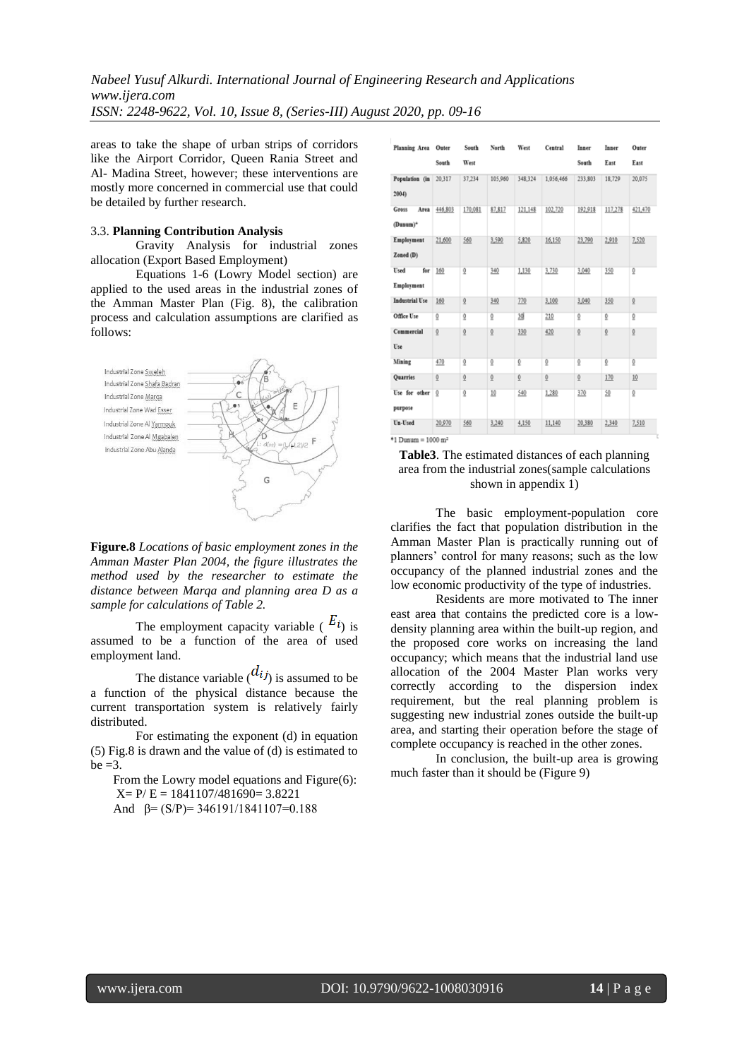areas to take the shape of urban strips of corridors like the Airport Corridor, Queen Rania Street and Al- Madina Street, however; these interventions are mostly more concerned in commercial use that could be detailed by further research.

## 3.3. **Planning Contribution Analysis**

Gravity Analysis for industrial zones allocation (Export Based Employment)

Equations 1-6 (Lowry Model section) are applied to the used areas in the industrial zones of the Amman Master Plan (Fig. 8), the calibration process and calculation assumptions are clarified as follows:



**Figure.8** *Locations of basic employment zones in the Amman Master Plan 2004, the figure illustrates the method used by the researcher to estimate the distance between Marqa and planning area D as a sample for calculations of Table 2.*

The employment capacity variable ( $E_i$ ) is assumed to be a function of the area of used employment land.

The distance variable  $\binom{d_{ij}}{i}$  is assumed to be a function of the physical distance because the current transportation system is relatively fairly distributed.

For estimating the exponent (d) in equation (5) Fig.8 is drawn and the value of (d) is estimated to  $be = 3$ .

From the Lowry model equations and Figure(6):  $X= P/E = 1841107/481690 = 3.8221$ 

And  $\beta = (S/P) = 346191/1841107=0.188$ 

| South<br>West<br>South<br>East<br>Population (in<br>37,234<br>105,960<br>348,324<br>1,056,466<br>233,803<br>18,729<br>20,317<br>2004<br>87,817<br>192,918<br>446,803<br>170,081<br>121,148<br>102,720<br>117,278<br>Gross<br>Area<br>(Dunum)*<br>21,600<br>5,820<br>16,150<br>23,790<br>2,910<br>Employment<br>560<br>3,590<br>Zoned (D)<br>Used<br>160<br>$\overline{0}$<br>340<br>1,130<br>3,730<br>3,040<br>350<br>ō<br>for<br>Employment<br><b>Industrial Use</b><br>$\overline{0}$<br>160<br>$\overline{0}$<br>770<br>350<br>340<br>3,100<br>3,040<br>30<br>Office Use<br>$\overline{0}$<br>$\overline{0}$<br>$\overline{0}$<br>$\overline{0}$<br>210<br>$\overline{0}$<br>ğ<br>Commercial<br>$\mathbf{0}$<br>$\overline{0}$<br>$\overline{0}$<br>$\overline{0}$<br>$\overline{0}$<br>330<br>420<br>$\overline{0}$<br>Use<br>470<br>$\overline{0}$<br>$\overline{0}$<br>Mining<br>$\overline{0}$<br>$\underline{0}$<br>$\overline{0}$<br>ō<br>$\overline{0}$ | Planning Area Outer |              | South          | North          | West           | Central | Inner          | Inner | Outer   |
|-------------------------------------------------------------------------------------------------------------------------------------------------------------------------------------------------------------------------------------------------------------------------------------------------------------------------------------------------------------------------------------------------------------------------------------------------------------------------------------------------------------------------------------------------------------------------------------------------------------------------------------------------------------------------------------------------------------------------------------------------------------------------------------------------------------------------------------------------------------------------------------------------------------------------------------------------------------------|---------------------|--------------|----------------|----------------|----------------|---------|----------------|-------|---------|
|                                                                                                                                                                                                                                                                                                                                                                                                                                                                                                                                                                                                                                                                                                                                                                                                                                                                                                                                                                   |                     |              |                |                |                |         |                |       | East    |
|                                                                                                                                                                                                                                                                                                                                                                                                                                                                                                                                                                                                                                                                                                                                                                                                                                                                                                                                                                   |                     |              |                |                |                |         |                |       | 20,075  |
|                                                                                                                                                                                                                                                                                                                                                                                                                                                                                                                                                                                                                                                                                                                                                                                                                                                                                                                                                                   |                     |              |                |                |                |         |                |       | 421,470 |
|                                                                                                                                                                                                                                                                                                                                                                                                                                                                                                                                                                                                                                                                                                                                                                                                                                                                                                                                                                   |                     |              |                |                |                |         |                |       | 7,520   |
|                                                                                                                                                                                                                                                                                                                                                                                                                                                                                                                                                                                                                                                                                                                                                                                                                                                                                                                                                                   |                     |              |                |                |                |         |                |       |         |
|                                                                                                                                                                                                                                                                                                                                                                                                                                                                                                                                                                                                                                                                                                                                                                                                                                                                                                                                                                   |                     |              |                |                |                |         |                |       |         |
|                                                                                                                                                                                                                                                                                                                                                                                                                                                                                                                                                                                                                                                                                                                                                                                                                                                                                                                                                                   |                     |              |                |                |                |         |                |       |         |
|                                                                                                                                                                                                                                                                                                                                                                                                                                                                                                                                                                                                                                                                                                                                                                                                                                                                                                                                                                   |                     |              |                |                |                |         |                |       |         |
|                                                                                                                                                                                                                                                                                                                                                                                                                                                                                                                                                                                                                                                                                                                                                                                                                                                                                                                                                                   |                     |              |                |                |                |         |                |       |         |
|                                                                                                                                                                                                                                                                                                                                                                                                                                                                                                                                                                                                                                                                                                                                                                                                                                                                                                                                                                   | Quarries            | $\mathbf{Q}$ | $\overline{0}$ | $\overline{0}$ | $\overline{0}$ | ō       | $\overline{0}$ | 170   | 10      |
| Use for other<br>0<br>$\overline{0}$<br>10<br>540<br>1,280<br>370<br>50<br>0<br>purpose                                                                                                                                                                                                                                                                                                                                                                                                                                                                                                                                                                                                                                                                                                                                                                                                                                                                           |                     |              |                |                |                |         |                |       |         |
| Un-Used<br>20,970<br>560<br>3,240<br>4,150<br>11,140<br>20,380<br>2,340                                                                                                                                                                                                                                                                                                                                                                                                                                                                                                                                                                                                                                                                                                                                                                                                                                                                                           |                     |              |                |                |                |         |                |       | 7,510   |

**Table3**. The estimated distances of each planning area from the industrial zones(sample calculations shown in appendix 1)

The basic employment-population core clarifies the fact that population distribution in the Amman Master Plan is practically running out of planners" control for many reasons; such as the low occupancy of the planned industrial zones and the low economic productivity of the type of industries.

Residents are more motivated to The inner east area that contains the predicted core is a lowdensity planning area within the built-up region, and the proposed core works on increasing the land occupancy; which means that the industrial land use allocation of the 2004 Master Plan works very correctly according to the dispersion index requirement, but the real planning problem is suggesting new industrial zones outside the built-up area, and starting their operation before the stage of complete occupancy is reached in the other zones.

In conclusion, the built-up area is growing much faster than it should be (Figure 9)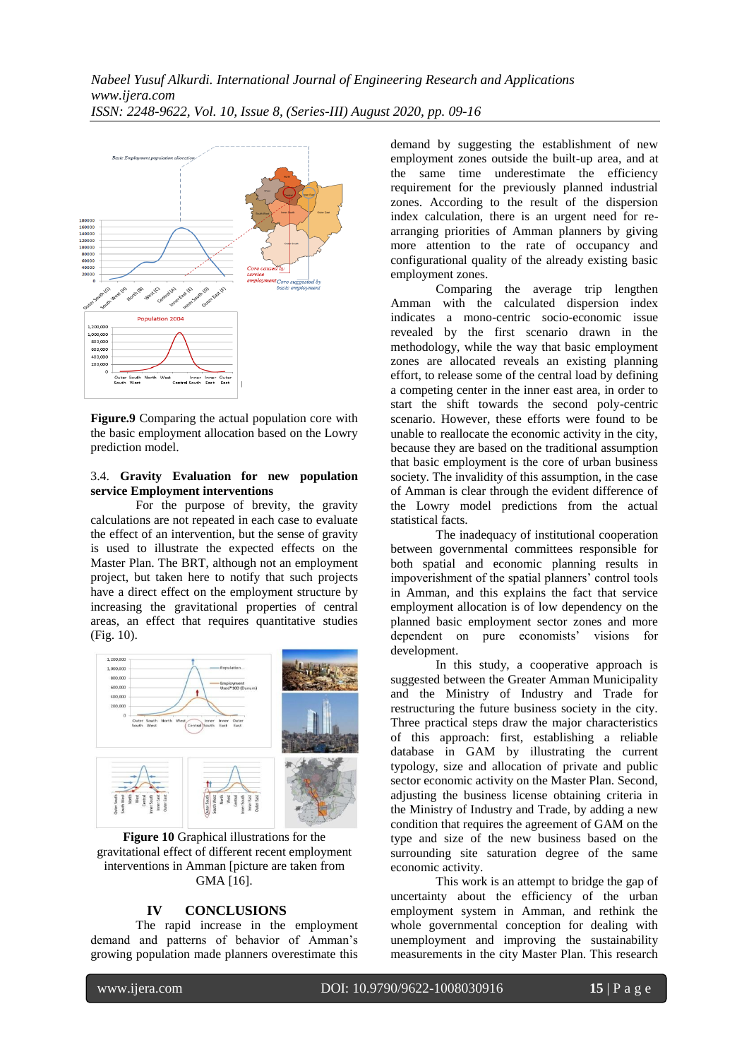

**Figure.9** Comparing the actual population core with the basic employment allocation based on the Lowry prediction model.

## 3.4. **Gravity Evaluation for new population service Employment interventions**

For the purpose of brevity, the gravity calculations are not repeated in each case to evaluate the effect of an intervention, but the sense of gravity is used to illustrate the expected effects on the Master Plan. The BRT, although not an employment project, but taken here to notify that such projects have a direct effect on the employment structure by increasing the gravitational properties of central areas, an effect that requires quantitative studies (Fig. 10).



**Figure 10** Graphical illustrations for the gravitational effect of different recent employment interventions in Amman [picture are taken from GMA [16].

## **IV CONCLUSIONS**

The rapid increase in the employment demand and patterns of behavior of Amman"s growing population made planners overestimate this

demand by suggesting the establishment of new employment zones outside the built-up area, and at the same time underestimate the efficiency requirement for the previously planned industrial zones. According to the result of the dispersion index calculation, there is an urgent need for rearranging priorities of Amman planners by giving more attention to the rate of occupancy and configurational quality of the already existing basic employment zones.

Comparing the average trip lengthen Amman with the calculated dispersion index indicates a mono-centric socio-economic issue revealed by the first scenario drawn in the methodology, while the way that basic employment zones are allocated reveals an existing planning effort, to release some of the central load by defining a competing center in the inner east area, in order to start the shift towards the second poly-centric scenario. However, these efforts were found to be unable to reallocate the economic activity in the city, because they are based on the traditional assumption that basic employment is the core of urban business society. The invalidity of this assumption, in the case of Amman is clear through the evident difference of the Lowry model predictions from the actual statistical facts.

The inadequacy of institutional cooperation between governmental committees responsible for both spatial and economic planning results in impoverishment of the spatial planners' control tools in Amman, and this explains the fact that service employment allocation is of low dependency on the planned basic employment sector zones and more dependent on pure economists' visions for development.

In this study, a cooperative approach is suggested between the Greater Amman Municipality and the Ministry of Industry and Trade for restructuring the future business society in the city. Three practical steps draw the major characteristics of this approach: first, establishing a reliable database in GAM by illustrating the current typology, size and allocation of private and public sector economic activity on the Master Plan. Second, adjusting the business license obtaining criteria in the Ministry of Industry and Trade, by adding a new condition that requires the agreement of GAM on the type and size of the new business based on the surrounding site saturation degree of the same economic activity.

This work is an attempt to bridge the gap of uncertainty about the efficiency of the urban employment system in Amman, and rethink the whole governmental conception for dealing with unemployment and improving the sustainability measurements in the city Master Plan. This research